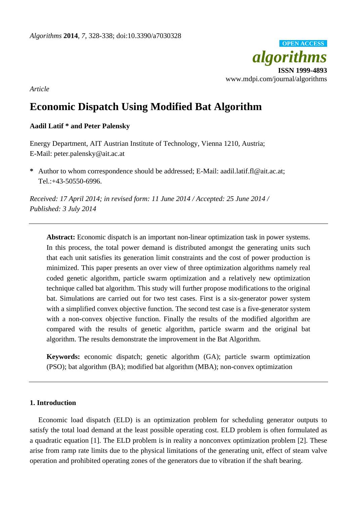

*Article*

# **Economic Dispatch Using Modified Bat Algorithm**

# **Aadil Latif \* and Peter Palensky**

Energy Department, AIT Austrian Institute of Technology, Vienna 1210, Austria; E-Mail: peter.palensky@ait.ac.at

**\*** Author to whom correspondence should be addressed; E-Mail: aadil.latif.fl@ait.ac.at; Tel.:+43-50550-6996.

*Received: 17 April 2014; in revised form: 11 June 2014 / Accepted: 25 June 2014 / Published: 3 July 2014*

**Abstract:** Economic dispatch is an important non-linear optimization task in power systems. In this process, the total power demand is distributed amongst the generating units such that each unit satisfies its generation limit constraints and the cost of power production is minimized. This paper presents an over view of three optimization algorithms namely real coded genetic algorithm, particle swarm optimization and a relatively new optimization technique called bat algorithm. This study will further propose modifications to the original bat. Simulations are carried out for two test cases. First is a six-generator power system with a simplified convex objective function. The second test case is a five-generator system with a non-convex objective function. Finally the results of the modified algorithm are compared with the results of genetic algorithm, particle swarm and the original bat algorithm. The results demonstrate the improvement in the Bat Algorithm.

**Keywords:** economic dispatch; genetic algorithm (GA); particle swarm optimization (PSO); bat algorithm (BA); modified bat algorithm (MBA); non-convex optimization

# **1. Introduction**

Economic load dispatch (ELD) is an optimization problem for scheduling generator outputs to satisfy the total load demand at the least possible operating cost. ELD problem is often formulated as a quadratic equation [1]. The ELD problem is in reality a nonconvex optimization problem [2]. These arise from ramp rate limits due to the physical limitations of the generating unit, effect of steam valve operation and prohibited operating zones of the generators due to vibration if the shaft bearing.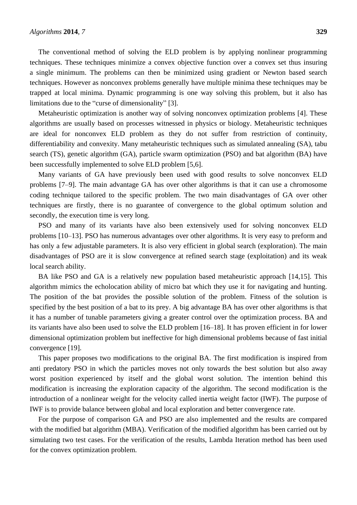The conventional method of solving the ELD problem is by applying nonlinear programming techniques. These techniques minimize a convex objective function over a convex set thus insuring a single minimum. The problems can then be minimized using gradient or Newton based search techniques. However as nonconvex problems generally have multiple minima these techniques may be trapped at local minima. Dynamic programming is one way solving this problem, but it also has limitations due to the "curse of dimensionality" [3].

Metaheuristic optimization is another way of solving nonconvex optimization problems [4]. These algorithms are usually based on processes witnessed in physics or biology. Metaheuristic techniques are ideal for nonconvex ELD problem as they do not suffer from restriction of continuity, differentiability and convexity. Many metaheuristic techniques such as simulated annealing (SA), tabu search (TS), genetic algorithm (GA), particle swarm optimization (PSO) and bat algorithm (BA) have been successfully implemented to solve ELD problem [5,6].

Many variants of GA have previously been used with good results to solve nonconvex ELD problems [7–9]. The main advantage GA has over other algorithms is that it can use a chromosome coding technique tailored to the specific problem. The two main disadvantages of GA over other techniques are firstly, there is no guarantee of convergence to the global optimum solution and secondly, the execution time is very long.

PSO and many of its variants have also been extensively used for solving nonconvex ELD problems [10–13]. PSO has numerous advantages over other algorithms. It is very easy to preform and has only a few adjustable parameters. It is also very efficient in global search (exploration). The main disadvantages of PSO are it is slow convergence at refined search stage (exploitation) and its weak local search ability.

BA like PSO and GA is a relatively new population based metaheuristic approach [14,15]. This algorithm mimics the echolocation ability of micro bat which they use it for navigating and hunting. The position of the bat provides the possible solution of the problem. Fitness of the solution is specified by the best position of a bat to its prey. A big advantage BA has over other algorithms is that it has a number of tunable parameters giving a greater control over the optimization process. BA and its variants have also been used to solve the ELD problem [16–18]. It has proven efficient in for lower dimensional optimization problem but ineffective for high dimensional problems because of fast initial convergence [19].

This paper proposes two modifications to the original BA. The first modification is inspired from anti predatory PSO in which the particles moves not only towards the best solution but also away worst position experienced by itself and the global worst solution. The intention behind this modification is increasing the exploration capacity of the algorithm. The second modification is the introduction of a nonlinear weight for the velocity called inertia weight factor (IWF). The purpose of IWF is to provide balance between global and local exploration and better convergence rate.

For the purpose of comparison GA and PSO are also implemented and the results are compared with the modified bat algorithm (MBA). Verification of the modified algorithm has been carried out by simulating two test cases. For the verification of the results, Lambda Iteration method has been used for the convex optimization problem.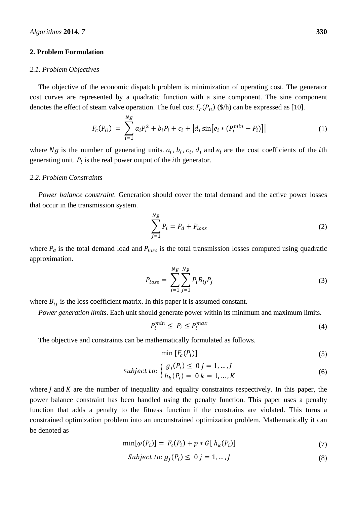#### **2. Problem Formulation**

#### *2.1. Problem Objectives*

The objective of the economic dispatch problem is minimization of operating cost. The generator cost curves are represented by a quadratic function with a sine component. The sine component denotes the effect of steam valve operation. The fuel cost  $F_c(P_G)$  (\$/h) can be expressed as [10].

$$
F_c(P_G) = \sum_{i=1}^{Ng} a_i P_i^2 + b_i P_i + c_i + |d_i \sin[e_i * (P_i^{min} - P_i)]|
$$
 (1)

where Ng is the number of generating units.  $a_i$ ,  $b_i$ ,  $c_i$ ,  $d_i$  and  $e_i$  are the cost coefficients of the *i*th generating unit.  $P_i$  is the real power output of the *i*th generator.

# *2.2. Problem Constraints*

*Power balance constraint.* Generation should cover the total demand and the active power losses that occur in the transmission system.

$$
\sum_{j=1}^{Ng} P_i = P_d + P_{loss} \tag{2}
$$

where  $P_d$  is the total demand load and  $P_{loss}$  is the total transmission losses computed using quadratic approximation.

$$
P_{loss} = \sum_{i=1}^{Ng} \sum_{j=1}^{Ng} P_i B_{ij} P_j
$$
 (3)

where  $B_{ij}$  is the loss coefficient matrix. In this paper it is assumed constant.

*Power generation limits*. Each unit should generate power within its minimum and maximum limits.

$$
P_i^{min} \le P_i \le P_i^{max} \tag{4}
$$

The objective and constraints can be mathematically formulated as follows.

$$
\min\left[F_c(P_i)\right] \tag{5}
$$

$$
subject\ to:\ \left\{\begin{array}{l}\ g_{j}(P_{i}) \leq \ 0 \ j = 1, \dots, J \\
h_{k}(P_{i}) = \ 0 \ k = 1, \dots, K\n\end{array}\right.\tag{6}
$$

where  $J$  and  $K$  are the number of inequality and equality constraints respectively. In this paper, the power balance constraint has been handled using the penalty function. This paper uses a penalty function that adds a penalty to the fitness function if the constrains are violated. This turns a constrained optimization problem into an unconstrained optimization problem. Mathematically it can be denoted as

$$
\min[\varphi(P_i)] = F_c(P_i) + p * G[h_k(P_i)] \tag{7}
$$

$$
Subject\ to\colon g_j(P_i) \leq 0 \ j = 1, \dots, J \tag{8}
$$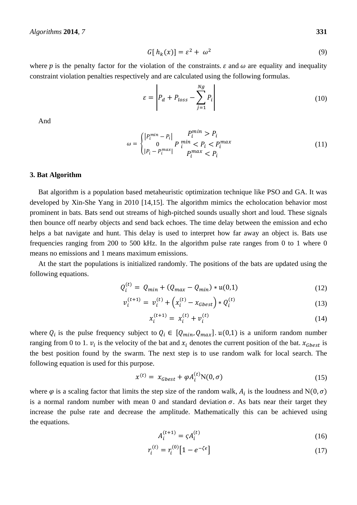$$
G[h_k(x)] = \varepsilon^2 + \omega^2 \tag{9}
$$

where p is the penalty factor for the violation of the constraints.  $\varepsilon$  and  $\omega$  are equality and inequality constraint violation penalties respectively and are calculated using the following formulas.

$$
\varepsilon = \left| P_d + P_{loss} - \sum_{j=1}^{Ng} P_i \right| \tag{10}
$$

And

$$
\omega = \begin{cases} |P_i^{min} - P_i| & P_i^{min} > P_i \\ 0 & P_i^{min} < P_i < P_i^{max} \\ |P_i - P_i^{max}| & P_i^{max} < P_i \end{cases}
$$
(11)

### **3. Bat Algorithm**

Bat algorithm is a population based metaheuristic optimization technique like PSO and GA. It was developed by Xin-She Yang in 2010 [14,15]. The algorithm mimics the echolocation behavior most prominent in bats. Bats send out streams of high-pitched sounds usually short and loud. These signals then bounce off nearby objects and send back echoes. The time delay between the emission and echo helps a bat navigate and hunt. This delay is used to interpret how far away an object is. Bats use frequencies ranging from 200 to 500 kHz. In the algorithm pulse rate ranges from 0 to 1 where 0 means no emissions and 1 means maximum emissions.

At the start the populations is initialized randomly. The positions of the bats are updated using the following equations.

$$
Q_i^{(t)} = Q_{min} + (Q_{max} - Q_{min}) * \mathfrak{u}(0,1)
$$
 (12)

$$
v_i^{(t+1)} = v_i^{(t)} + \left(x_i^{(t)} - x_{\text{Gbest}}\right) * Q_i^{(t)}
$$
(13)

$$
x_i^{(t+1)} = x_i^{(t)} + v_i^{(t)}
$$
(14)

where  $Q_i$  is the pulse frequency subject to  $Q_i \in [Q_{min}, Q_{max}]$ .  $\mu(0,1)$  is a uniform random number ranging from 0 to 1.  $v_i$  is the velocity of the bat and  $x_i$  denotes the current position of the bat.  $x_{\text{check}}$  is the best position found by the swarm. The next step is to use random walk for local search. The following equation is used for this purpose.

$$
x^{(t)} = x_{\text{Gbest}} + \varphi A_i^{(t)} \mathcal{N}(0, \sigma) \tag{15}
$$

where  $\varphi$  is a scaling factor that limits the step size of the random walk,  $A_i$  is the loudness and N is a normal random number with mean 0 and standard deviation  $\sigma$ . As bats near their target they increase the pulse rate and decrease the amplitude. Mathematically this can be achieved using the equations.

$$
A_i^{(t+1)} = \varsigma A_i^{(t)} \tag{16}
$$

$$
r_i^{(t)} = r_i^{(0)} [1 - e^{-\zeta \epsilon}] \tag{17}
$$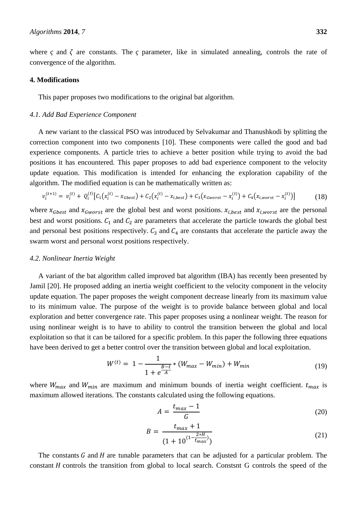where  $\zeta$  and  $\zeta$  are constants. The  $\zeta$  parameter, like in simulated annealing, controls the rate of convergence of the algorithm.

#### **4. Modifications**

This paper proposes two modifications to the original bat algorithm.

#### *4.1. Add Bad Experience Component*

A new variant to the classical PSO was introduced by Selvakumar and Thanushkodi by splitting the correction component into two components [10]. These components were called the good and bad experience components. A particle tries to achieve a better position while trying to avoid the bad positions it has encountered. This paper proposes to add bad experience component to the velocity update equation. This modification is intended for enhancing the exploration capability of the algorithm. The modified equation is can be mathematically written as:

$$
v_i^{(t+1)} = v_i^{(t)} + Q_i^{(t)} \big[ C_1 \big( x_i^{(t)} - x_{\text{gbest}} \big) + C_2 \big( x_i^{(t)} - x_{i,\text{best}} \big) + C_3 \big( x_{\text{Gworst}} - x_i^{(t)} \big) + C_4 \big( x_{i,\text{worst}} - x_i^{(t)} \big) \big] \tag{18}
$$

where  $x_{\text{Gbest}}$  and  $x_{\text{Gworst}}$  are the global best and worst positions.  $x_{i, \text{best}}$  and  $x_{i, \text{worst}}$  are the personal best and worst positions.  $C_1$  and  $C_2$  are parameters that accelerate the particle towards the global best and personal best positions respectively.  $C_3$  and  $C_4$  are constants that accelerate the particle away the swarm worst and personal worst positions respectively.

#### *4.2. Nonlinear Inertia Weight*

A variant of the bat algorithm called improved bat algorithm (IBA) has recently been presented by Jamil [20]. He proposed adding an inertia weight coefficient to the velocity component in the velocity update equation. The paper proposes the weight component decrease linearly from its maximum value to its minimum value. The purpose of the weight is to provide balance between global and local exploration and better convergence rate. This paper proposes using a nonlinear weight. The reason for using nonlinear weight is to have to ability to control the transition between the global and local exploitation so that it can be tailored for a specific problem. In this paper the following three equations have been derived to get a better control over the transition between global and local exploitation.

$$
W^{(t)} = 1 - \frac{1}{1 + e^{\frac{B - t}{A}}} * (W_{max} - W_{min}) + W_{min}
$$
 (19)

where  $W_{max}$  and  $W_{min}$  are maximum and minimum bounds of inertia weight coefficient.  $t_{max}$  is maximum allowed iterations. The constants calculated using the following equations.

$$
A = \frac{t_{max} - 1}{G} \tag{20}
$$

$$
B = \frac{t_{max} + 1}{\left(1 + 10^{(1 - \frac{2*H}{t_{max}})}\right)}
$$
(21)

The constants  $G$  and  $H$  are tunable parameters that can be adjusted for a particular problem. The constant  $H$  controls the transition from global to local search. Constsnt G controls the speed of the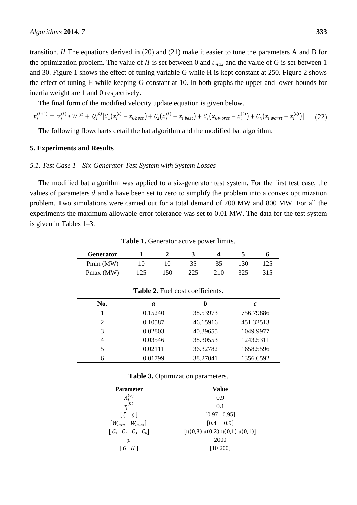transition. H The equations derived in  $(20)$  and  $(21)$  make it easier to tune the parameters A and B for the optimization problem. The value of H is set between 0 and  $t_{max}$  and the value of G is set between 1 and 30. Figure 1 shows the effect of tuning variable G while H is kept constant at 250. Figure 2 shows the effect of tuning H while keeping G constant at 10. In both graphs the upper and lower bounds for inertia weight are 1 and 0 respectively.

The final form of the modified velocity update equation is given below.

$$
v_i^{(t+1)} = v_i^{(t)} * W^{(t)} + Q_i^{(t)} [C_1(x_i^{(t)} - x_{\text{Gbest}}) + C_2(x_i^{(t)} - x_{\text{Lbest}}) + C_3(x_{\text{Gworst}} - x_i^{(t)}) + C_4(x_{\text{Lworst}} - x_i^{(t)})]
$$
(22)

The following flowcharts detail the bat algorithm and the modified bat algorithm.

#### **5. Experiments and Results**

#### *5.1. Test Case 1—Six-Generator Test System with System Losses*

The modified bat algorithm was applied to a six-generator test system. For the first test case, the values of parameters  $d$  and  $e$  have been set to zero to simplify the problem into a convex optimization problem. Two simulations were carried out for a total demand of 700 MW and 800 MW. For all the experiments the maximum allowable error tolerance was set to 0.01 MW. The data for the test system is given in Tables 1–3.

| <b>Generator</b> |     |    |     |  |
|------------------|-----|----|-----|--|
| Pmin (MW)        |     | 35 | .30 |  |
| Pmax (MW)        | .50 |    |     |  |

**Table 1.** Generator active power limits.

**No.**  $\boldsymbol{b}$  $\pmb{c}$ 1 0.15240 38.53973 756.79886 2 0.10587 46.15916 451.32513 3 0.02803 40.39655 1049.9977 4 0.03546 38.30553 1243.5311 5 0.02111 36.32782 1658.5596 6 0.01799 38.27041 1356.6592

**Table 3.** Optimization parameters.

| <b>Parameter</b>                                      | Value                                                    |
|-------------------------------------------------------|----------------------------------------------------------|
| $A_i^{(0)}$<br>$r_i^{(0)}$                            | 0.9                                                      |
|                                                       | 0.1                                                      |
| $\lceil \zeta \rceil$                                 | $[0.97 \ 0.95]$                                          |
| $[W_{min} \quad W_{max}]$                             | $[0.4 \ 0.9]$                                            |
| $\begin{bmatrix} C_1 & C_2 & C_3 & C_4 \end{bmatrix}$ | $\left[\mu(0,3) \,\mu(0,2) \,\mu(0,1) \,\mu(0,1)\right]$ |
| р                                                     | 2000                                                     |
| IG H                                                  | [10 200]                                                 |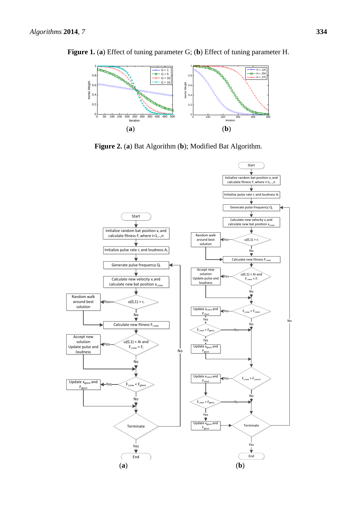

**Figure 1.** (**a**) Effect of tuning parameter G; (**b**) Effect of tuning parameter H.

**Figure 2.** (**a**) Bat Algorithm (**b**); Modified Bat Algorithm.

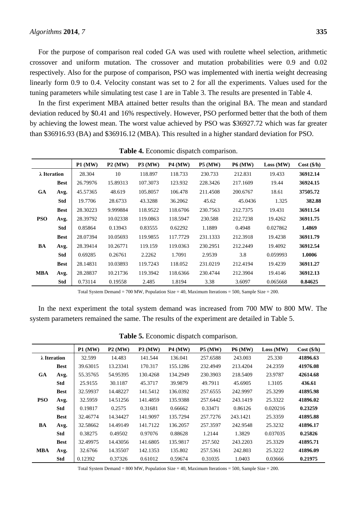For the purpose of comparison real coded GA was used with roulette wheel selection, arithmetic crossover and uniform mutation. The crossover and mutation probabilities were 0.9 and 0.02 respectively. Also for the purpose of comparison, PSO was implemented with inertia weight decreasing linearly form 0.9 to 0.4. Velocity constant was set to 2 for all the experiments. Values used for the tuning parameters while simulating test case 1 are in Table 3. The results are presented in Table 4.

In the first experiment MBA attained better results than the original BA. The mean and standard deviation reduced by \$0.41 and 16% respectively. However, PSO performed better that the both of them by achieving the lowest mean. The worst value achieved by PSO was \$36927.72 which was far greater than \$36916.93 (BA) and \$36916.12 (MBA). This resulted in a higher standard deviation for PSO.

|             |             | $P1$ (MW) | $P2$ (MW) | $P3$ (MW) | <b>P4 (MW)</b> | <b>P5 (MW)</b> | <b>P6 (MW)</b> | Loss (MW) | Cost(S/h) |
|-------------|-------------|-----------|-----------|-----------|----------------|----------------|----------------|-----------|-----------|
| λ Iteration |             | 28.304    | 10        | 118.897   | 118.733        | 230.733        | 212.831        | 19.433    | 36912.14  |
|             | <b>Best</b> | 26.79976  | 15.89313  | 107.3073  | 123.932        | 228.3426       | 217.1609       | 19.44     | 36924.15  |
| <b>GA</b>   | Avg.        | 45.57365  | 48.619    | 105.8057  | 106.478        | 211.4508       | 200.6767       | 18.61     | 37505.72  |
|             | Std         | 19.7706   | 28.6733   | 43.3288   | 36.2062        | 45.62          | 45.0436        | 1.325     | 382.88    |
|             | <b>Best</b> | 28.30223  | 9.999884  | 118.9522  | 118.6706       | 230.7563       | 212.7375       | 19.431    | 36911.54  |
| <b>PSO</b>  | Avg.        | 28.39792  | 10.02338  | 119.0863  | 118.5947       | 230.588        | 212.7238       | 19.4262   | 36911.75  |
|             | Std         | 0.85864   | 0.13943   | 0.83555   | 0.62292        | 1.1889         | 0.4948         | 0.027862  | 1.4869    |
|             | <b>Best</b> | 28.07394  | 10.05693  | 119.9855  | 117.7729       | 231.1333       | 212.3918       | 19.4238   | 36911.79  |
| BA          | Avg.        | 28.39414  | 10.26771  | 119.159   | 119.0363       | 230.2951       | 212.2449       | 19.4092   | 36912.54  |
|             | <b>Std</b>  | 0.69285   | 0.26761   | 2.2262    | 1.7091         | 2.9539         | 3.8            | 0.059993  | 1.0006    |
|             | <b>Best</b> | 28.14831  | 10.03893  | 119.7243  | 118.052        | 231.0219       | 212.4194       | 19.4239   | 36911.27  |
| <b>MBA</b>  | Avg.        | 28.28837  | 10.21736  | 119.3942  | 118.6366       | 230.4744       | 212.3904       | 19.4146   | 36912.13  |
|             | <b>Std</b>  | 0.73114   | 0.19558   | 2.485     | 1.8194         | 3.38           | 3.6097         | 0.065668  | 0.84625   |

**Table 4.** Economic dispatch comparison.

Total System Demand = 700 MW, Population Size = 40, Maximum Iterations = 500, Sample Size = 200.

In the next experiment the total system demand was increased from 700 MW to 800 MW. The system parameters remained the same. The results of the experiment are detailed in Table 5.

|            |                     | $P1$ (MW) | $P2$ (MW) | $P3$ (MW) | <b>P4 (MW)</b> | <b>P5 (MW)</b> | <b>P6 (MW)</b> | Loss (MW) | $Cost (\$/h)$ |
|------------|---------------------|-----------|-----------|-----------|----------------|----------------|----------------|-----------|---------------|
|            | $\lambda$ Iteration | 32.599    | 14.483    | 141.544   | 136.041        | 257.6588       | 243.003        | 25.330    | 41896.63      |
|            | <b>Best</b>         | 39.63015  | 13.23341  | 170.317   | 155.1286       | 232.4949       | 213.4204       | 24.2359   | 41976.08      |
| <b>GA</b>  | Avg.                | 55.35765  | 54.95395  | 130.4268  | 134.2949       | 230.3903       | 218.5409       | 23.9787   | 42614.68      |
|            | <b>Std</b>          | 25.9155   | 30.1187   | 45.3717   | 39.9879        | 49.7911        | 45.6905        | 1.3105    | 436.61        |
|            | <b>Best</b>         | 32.59937  | 14.48227  | 141.5412  | 136.0392       | 257.6555       | 242.9997       | 25.3299   | 41895.98      |
| <b>PSO</b> | Avg.                | 32.5959   | 14.51256  | 141.4859  | 135.9388       | 257.6442       | 243.1419       | 25.3322   | 41896.02      |
|            | <b>Std</b>          | 0.19817   | 0.2575    | 0.31681   | 0.66662        | 0.33471        | 0.86126        | 0.020216  | 0.23259       |
|            | <b>Best</b>         | 32.46774  | 14.34427  | 141.9097  | 135.7294       | 257.7276       | 243.1421       | 25.3359   | 41895.88      |
| BA         | Avg.                | 32.58662  | 14.49149  | 141.7122  | 136.2057       | 257.3597       | 242.9548       | 25.3232   | 41896.17      |
|            | <b>Std</b>          | 0.38275   | 0.49502   | 0.97076   | 0.88628        | 1.2144         | 1.3829         | 0.037035  | 0.25826       |
|            | <b>Best</b>         | 32.49975  | 14.43056  | 141.6805  | 135.9817       | 257.502        | 243.2203       | 25.3329   | 41895.71      |
| <b>MBA</b> | Avg.                | 32.6766   | 14.35507  | 142.1353  | 135.802        | 257.5361       | 242.803        | 25.3222   | 41896.09      |
|            | <b>Std</b>          | 0.12392   | 0.37326   | 0.61012   | 0.59674        | 0.31035        | 1.0403         | 0.03666   | 0.21975       |

**Table 5.** Economic dispatch comparison.

Total System Demand = 800 MW, Population Size = 40, Maximum Iterations = 500, Sample Size = 200.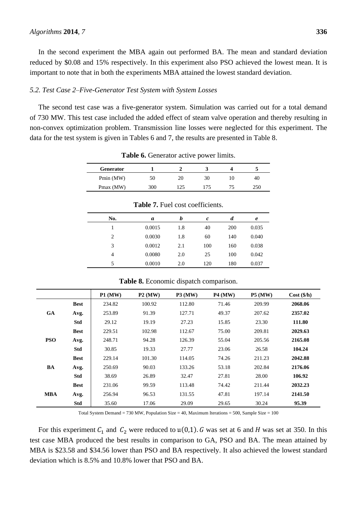In the second experiment the MBA again out performed BA. The mean and standard deviation reduced by \$0.08 and 15% respectively. In this experiment also PSO achieved the lowest mean. It is important to note that in both the experiments MBA attained the lowest standard deviation.

#### *5.2. Test Case 2–Five-Generator Test System with System Losses*

The second test case was a five-generator system. Simulation was carried out for a total demand of 730 MW. This test case included the added effect of steam valve operation and thereby resulting in non-convex optimization problem. Transmission line losses were neglected for this experiment. The data for the test system is given in Tables 6 and 7, the results are presented in Table 8.

| <b>Generator</b> |     |     |    |     |
|------------------|-----|-----|----|-----|
| Pmin (MW)        | 50  | 20  | 30 | 40  |
| Pmax (MW)        | 300 | 125 |    | 250 |

#### **Table 6.** Generator active power limits.

| No. | a      | b   | C   | d   | e     |
|-----|--------|-----|-----|-----|-------|
|     | 0.0015 | 1.8 | 40  | 200 | 0.035 |
| 2   | 0.0030 | 1.8 | 60  | 140 | 0.040 |
| 3   | 0.0012 | 2.1 | 100 | 160 | 0.038 |
| 4   | 0.0080 | 2.0 | 25  | 100 | 0.042 |
| 5   | 0.0010 | 2.0 | 120 | 180 | 0.037 |
|     |        |     |     |     |       |

#### **Table 7.** Fuel cost coefficients.

|            |             | $P1$ (MW) | $P2$ (MW) | $P3$ (MW) | <b>P4 (MW)</b> | <b>P5 (MW)</b> | $Cost$ (\$/h) |
|------------|-------------|-----------|-----------|-----------|----------------|----------------|---------------|
|            | <b>Best</b> | 234.82    | 100.92    | 112.80    | 71.46          | 209.99         | 2068.06       |
| <b>GA</b>  | Avg.        | 253.89    | 91.39     | 127.71    | 49.37          | 207.62         | 2357.02       |
|            | <b>Std</b>  | 29.12     | 19.19     | 27.23     | 15.85          | 23.30          | 111.80        |
|            | <b>Best</b> | 229.51    | 102.98    | 112.67    | 75.00          | 209.81         | 2029.63       |
| <b>PSO</b> | Avg.        | 248.71    | 94.28     | 126.39    | 55.04          | 205.56         | 2165.08       |
|            | <b>Std</b>  | 30.85     | 19.33     | 27.77     | 23.06          | 26.58          | 104.24        |
|            | <b>Best</b> | 229.14    | 101.30    | 114.05    | 74.26          | 211.23         | 2042.88       |
| BA         | Avg.        | 250.69    | 90.03     | 133.26    | 53.18          | 202.84         | 2176.06       |
|            | <b>Std</b>  | 38.69     | 26.89     | 32.47     | 27.81          | 28.00          | 106.92        |
|            | <b>Best</b> | 231.06    | 99.59     | 113.48    | 74.42          | 211.44         | 2032.23       |
| <b>MBA</b> | Avg.        | 256.94    | 96.53     | 131.55    | 47.81          | 197.14         | 2141.50       |
|            | <b>Std</b>  | 35.60     | 17.06     | 29.09     | 29.65          | 30.24          | 95.39         |

**Table 8.** Economic dispatch comparison.

Total System Demand = 730 MW, Population Size = 40, Maximum Iterations = 500, Sample Size = 100

For this experiment  $C_1$  and  $C_2$  were reduced to  $\mu(0,1)$ . G was set at 6 and H was set at 350. In this test case MBA produced the best results in comparison to GA, PSO and BA. The mean attained by MBA is \$23.58 and \$34.56 lower than PSO and BA respectively. It also achieved the lowest standard deviation which is 8.5% and 10.8% lower that PSO and BA.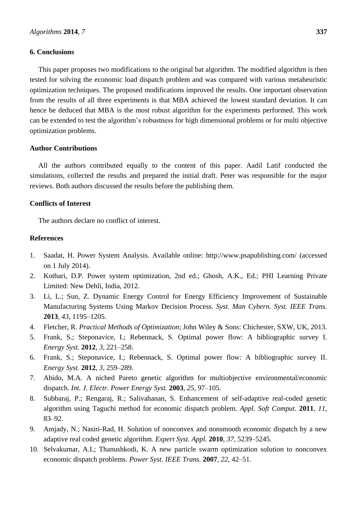## **6. Conclusions**

This paper proposes two modifications to the original bat algorithm. The modified algorithm is then tested for solving the economic load dispatch problem and was compared with various metaheuristic optimization techniques. The proposed modifications improved the results. One important observation from the results of all three experiments is that MBA achieved the lowest standard deviation. It can hence be deduced that MBA is the most robust algorithm for the experiments performed. This work can be extended to test the algorithm's robustness for high dimensional problems or for multi objective optimization problems.

# **Author Contributions**

All the authors contributed equally to the content of this paper. Aadil Latif conducted the simulations, collected the results and prepared the initial draft. Peter was responsible for the major reviews. Both authors discussed the results before the publishing them.

### **Conflicts of Interest**

The authors declare no conflict of interest.

#### **References**

- 1. Saadat, H. Power System Analysis. Available online: http://www.psapublishing.com/ (accessed on 1 July 2014).
- 2. Kothari, D.P. Power system optimization, 2nd ed.; Ghosh, A.K., Ed.; PHI Learning Private Limited: New Dehli, India, 2012.
- 3. Li, L.; Sun, Z. Dynamic Energy Control for Energy Efficiency Improvement of Sustainable Manufacturing Systems Using Markov Decision Process. *Syst. Man Cybern. Syst. IEEE Trans.* **2013**, *43*, 1195–1205.
- 4. Fletcher, R. *Practical Methods of Optimization*; John Wiley & Sons: Chichester, SXW, UK, 2013.
- 5. Frank, S.; Steponavice, I.; Rebennack, S. Optimal power flow: A bibliographic survey I. *Energy Syst.* **2012**, *3*, 221–258.
- 6. Frank, S.; Steponavice, I.; Rebennack, S. Optimal power flow: A bibliographic survey II. *Energy Syst.* **2012**, *3*, 259–289.
- 7. Abido, M.A. A niched Pareto genetic algorithm for multiobjective environmental/economic dispatch. *Int. J. Electr. Power Energy Syst.* **2003**, *25*, 97–105.
- 8. Subbaraj, P.; Rengaraj, R.; Salivahanan, S. Enhancement of self-adaptive real-coded genetic algorithm using Taguchi method for economic dispatch problem. *Appl. Soft Comput.* **2011**, *11*, 83–92.
- 9. Amjady, N.; Nasiri-Rad, H. Solution of nonconvex and nonsmooth economic dispatch by a new adaptive real coded genetic algorithm. *Expert Syst. Appl.* **2010**, *37*, 5239–5245.
- 10. Selvakumar, A.I.; Thanushkodi, K. A new particle swarm optimization solution to nonconvex economic dispatch problems. *Power Syst. IEEE Trans.* **2007**, *22*, 42–51.